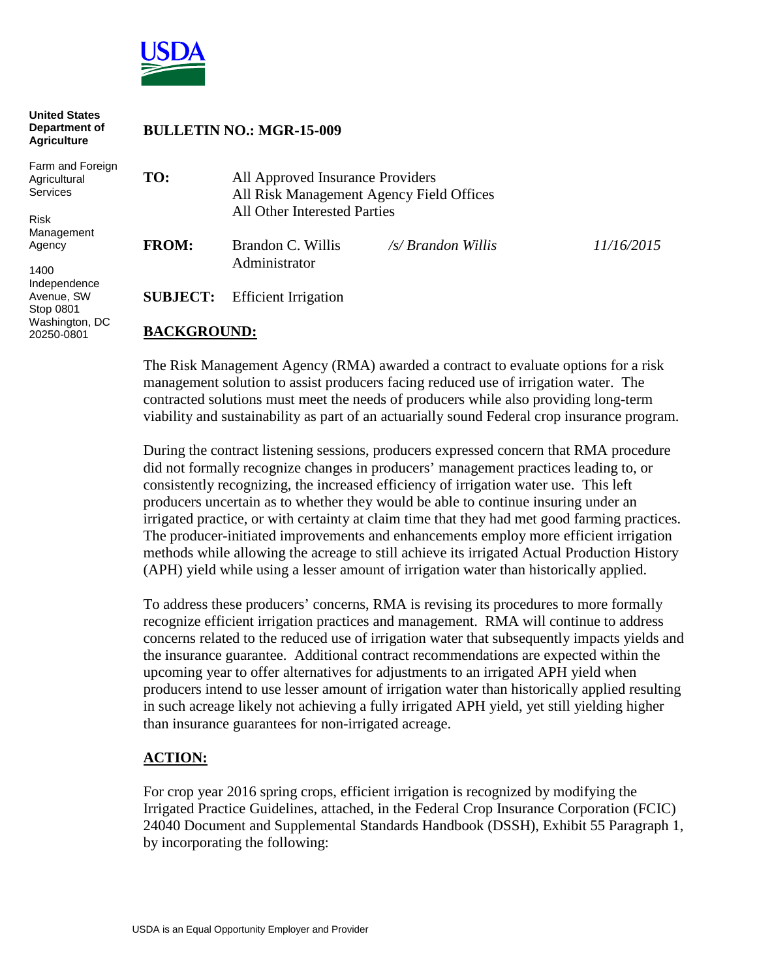

| <b>United States</b><br>Department of<br><b>Agriculture</b> | <b>BULLETIN NO.: MGR-15-009</b> |                                                                                                              |                    |                   |
|-------------------------------------------------------------|---------------------------------|--------------------------------------------------------------------------------------------------------------|--------------------|-------------------|
| Farm and Foreign<br>Agricultural<br>Services                | TO:                             | All Approved Insurance Providers<br>All Risk Management Agency Field Offices<br>All Other Interested Parties |                    |                   |
| <b>Risk</b>                                                 |                                 |                                                                                                              |                    |                   |
| Management<br>Agency                                        | <b>FROM:</b>                    | Brandon C. Willis                                                                                            | /s/ Brandon Willis | <i>11/16/2015</i> |
| 1400                                                        |                                 | Administrator                                                                                                |                    |                   |
| Independence<br>Avenue, SW<br>Stop 0801                     | <b>SUBJECT:</b>                 | <b>Efficient Irrigation</b>                                                                                  |                    |                   |
| Washington, DC                                              |                                 |                                                                                                              |                    |                   |

## **BACKGROUND:**

20250-0801

The Risk Management Agency (RMA) awarded a contract to evaluate options for a risk management solution to assist producers facing reduced use of irrigation water. The contracted solutions must meet the needs of producers while also providing long-term viability and sustainability as part of an actuarially sound Federal crop insurance program.

During the contract listening sessions, producers expressed concern that RMA procedure did not formally recognize changes in producers' management practices leading to, or consistently recognizing, the increased efficiency of irrigation water use. This left producers uncertain as to whether they would be able to continue insuring under an irrigated practice, or with certainty at claim time that they had met good farming practices. The producer-initiated improvements and enhancements employ more efficient irrigation methods while allowing the acreage to still achieve its irrigated Actual Production History (APH) yield while using a lesser amount of irrigation water than historically applied.

To address these producers' concerns, RMA is revising its procedures to more formally recognize efficient irrigation practices and management. RMA will continue to address concerns related to the reduced use of irrigation water that subsequently impacts yields and the insurance guarantee. Additional contract recommendations are expected within the upcoming year to offer alternatives for adjustments to an irrigated APH yield when producers intend to use lesser amount of irrigation water than historically applied resulting in such acreage likely not achieving a fully irrigated APH yield, yet still yielding higher than insurance guarantees for non-irrigated acreage.

## **ACTION:**

For crop year 2016 spring crops, efficient irrigation is recognized by modifying the Irrigated Practice Guidelines, attached, in the Federal Crop Insurance Corporation (FCIC) 24040 Document and Supplemental Standards Handbook (DSSH), Exhibit 55 Paragraph 1, by incorporating the following: